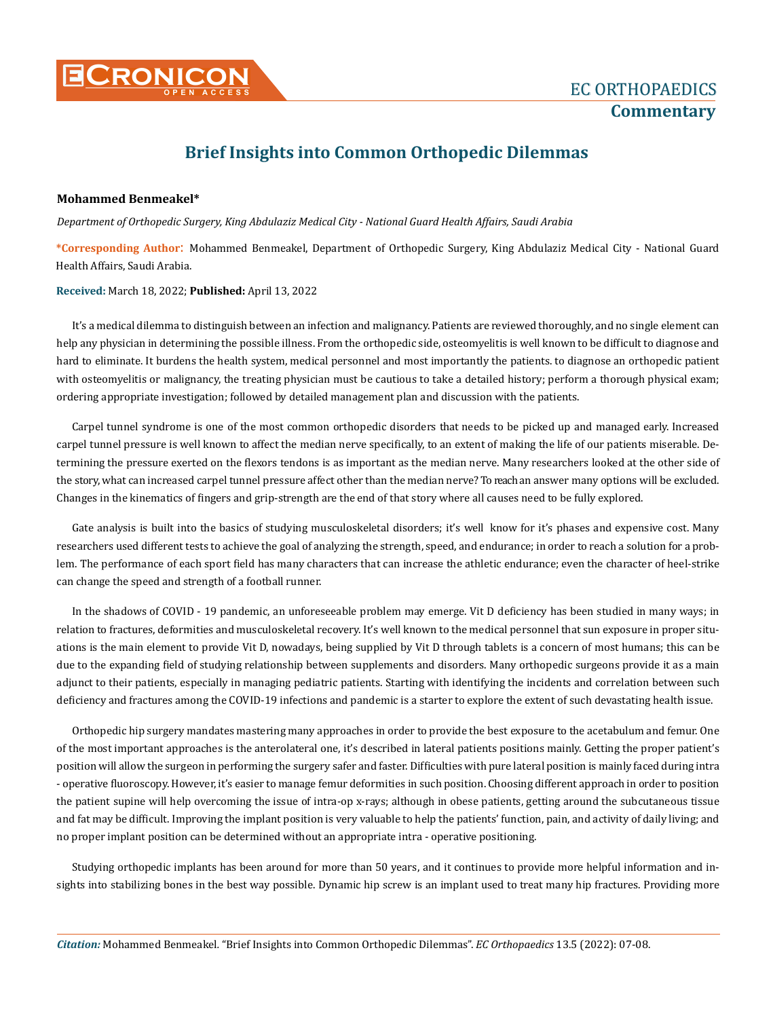

## **Brief Insights into Common Orthopedic Dilemmas**

## **Mohammed Benmeakel\***

*Department of Orthopedic Surgery, King Abdulaziz Medical City - National Guard Health Affairs, Saudi Arabia*

**\*Corresponding Author**: Mohammed Benmeakel, Department of Orthopedic Surgery, King Abdulaziz Medical City - National Guard Health Affairs, Saudi Arabia.

**Received:** March 18, 2022; **Published:** April 13, 2022

It's a medical dilemma to distinguish between an infection and malignancy. Patients are reviewed thoroughly, and no single element can help any physician in determining the possible illness. From the orthopedic side, osteomyelitis is well known to be difficult to diagnose and hard to eliminate. It burdens the health system, medical personnel and most importantly the patients. to diagnose an orthopedic patient with osteomyelitis or malignancy, the treating physician must be cautious to take a detailed history; perform a thorough physical exam; ordering appropriate investigation; followed by detailed management plan and discussion with the patients.

Carpel tunnel syndrome is one of the most common orthopedic disorders that needs to be picked up and managed early. Increased carpel tunnel pressure is well known to affect the median nerve specifically, to an extent of making the life of our patients miserable. Determining the pressure exerted on the flexors tendons is as important as the median nerve. Many researchers looked at the other side of the story, what can increased carpel tunnel pressure affect other than the median nerve? To reach an answer many options will be excluded. Changes in the kinematics of fingers and grip-strength are the end of that story where all causes need to be fully explored.

Gate analysis is built into the basics of studying musculoskeletal disorders; it's well know for it's phases and expensive cost. Many researchers used different tests to achieve the goal of analyzing the strength, speed, and endurance; in order to reach a solution for a problem. The performance of each sport field has many characters that can increase the athletic endurance; even the character of heel-strike can change the speed and strength of a football runner.

In the shadows of COVID - 19 pandemic, an unforeseeable problem may emerge. Vit D deficiency has been studied in many ways; in relation to fractures, deformities and musculoskeletal recovery. It's well known to the medical personnel that sun exposure in proper situations is the main element to provide Vit D, nowadays, being supplied by Vit D through tablets is a concern of most humans; this can be due to the expanding field of studying relationship between supplements and disorders. Many orthopedic surgeons provide it as a main adjunct to their patients, especially in managing pediatric patients. Starting with identifying the incidents and correlation between such deficiency and fractures among the COVID-19 infections and pandemic is a starter to explore the extent of such devastating health issue.

Orthopedic hip surgery mandates mastering many approaches in order to provide the best exposure to the acetabulum and femur. One of the most important approaches is the anterolateral one, it's described in lateral patients positions mainly. Getting the proper patient's position will allow the surgeon in performing the surgery safer and faster. Difficulties with pure lateral position is mainly faced during intra - operative fluoroscopy. However, it's easier to manage femur deformities in such position. Choosing different approach in order to position the patient supine will help overcoming the issue of intra-op x-rays; although in obese patients, getting around the subcutaneous tissue and fat may be difficult. Improving the implant position is very valuable to help the patients' function, pain, and activity of daily living; and no proper implant position can be determined without an appropriate intra - operative positioning.

Studying orthopedic implants has been around for more than 50 years, and it continues to provide more helpful information and insights into stabilizing bones in the best way possible. Dynamic hip screw is an implant used to treat many hip fractures. Providing more